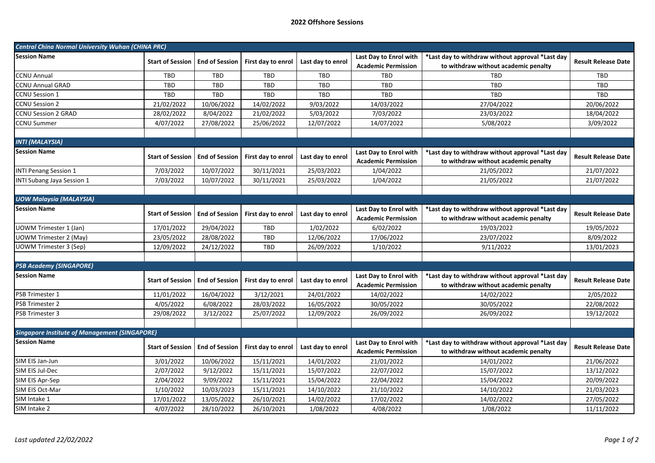## **2022 Offshore Sessions**

| <b>Central Ching Normal University Wuhan (CHINA PRC)</b> |                         |                       |                    |                   |                                                      |                                                                                          |                            |  |  |  |
|----------------------------------------------------------|-------------------------|-----------------------|--------------------|-------------------|------------------------------------------------------|------------------------------------------------------------------------------------------|----------------------------|--|--|--|
| <b>Session Name</b>                                      | <b>Start of Session</b> | <b>End of Session</b> | First day to enrol | Last day to enrol | Last Day to Enrol with<br><b>Academic Permission</b> | *Last day to withdraw without approval *Last day<br>to withdraw without academic penalty | <b>Result Release Date</b> |  |  |  |
| <b>CCNU Annual</b>                                       | <b>TBD</b>              | <b>TBD</b>            | <b>TBD</b>         | TBD               | TBD                                                  | TBD                                                                                      | <b>TBD</b>                 |  |  |  |
| <b>CCNU Annual GRAD</b>                                  | <b>TBD</b>              | <b>TBD</b>            | <b>TBD</b>         | TBD               | <b>TBD</b>                                           | <b>TBD</b>                                                                               | <b>TBD</b>                 |  |  |  |
| <b>CCNU Session 1</b>                                    | TBD                     | TBD                   | TBD                | TBD               | <b>TBD</b>                                           | <b>TBD</b>                                                                               | TBD                        |  |  |  |
| <b>CCNU Session 2</b>                                    | 21/02/2022              | 10/06/2022            | 14/02/2022         | 9/03/2022         | 14/03/2022                                           | 27/04/2022                                                                               | 20/06/2022                 |  |  |  |
| <b>CCNU Session 2 GRAD</b>                               | 28/02/2022              | 8/04/2022             | 21/02/2022         | 5/03/2022         | 7/03/2022                                            | 23/03/2022                                                                               | 18/04/2022                 |  |  |  |
| <b>CCNU Summer</b>                                       | 4/07/2022               | 27/08/2022            | 25/06/2022         | 12/07/2022        | 14/07/2022                                           | 5/08/2022                                                                                | 3/09/2022                  |  |  |  |
|                                                          |                         |                       |                    |                   |                                                      |                                                                                          |                            |  |  |  |
| <b>INTI (MALAYSIA)</b>                                   |                         |                       |                    |                   |                                                      |                                                                                          |                            |  |  |  |
| <b>Session Name</b>                                      | <b>Start of Session</b> | <b>End of Session</b> | First day to enrol | Last day to enrol | Last Day to Enrol with<br><b>Academic Permission</b> | *Last day to withdraw without approval *Last day<br>to withdraw without academic penalty | <b>Result Release Date</b> |  |  |  |
| <b>INTI Penang Session 1</b>                             | 7/03/2022               | 10/07/2022            | 30/11/2021         | 25/03/2022        | 1/04/2022                                            | 21/05/2022                                                                               | 21/07/2022                 |  |  |  |
| INTI Subang Jaya Session 1                               | 7/03/2022               | 10/07/2022            | 30/11/2021         | 25/03/2022        | 1/04/2022                                            | 21/05/2022                                                                               | 21/07/2022                 |  |  |  |
|                                                          |                         |                       |                    |                   |                                                      |                                                                                          |                            |  |  |  |
| <b>UOW Malaysia (MALAYSIA)</b>                           |                         |                       |                    |                   |                                                      |                                                                                          |                            |  |  |  |
| <b>Session Name</b>                                      | <b>Start of Session</b> | <b>End of Session</b> | First day to enrol | Last day to enrol | Last Day to Enrol with<br><b>Academic Permission</b> | *Last day to withdraw without approval *Last day<br>to withdraw without academic penalty | <b>Result Release Date</b> |  |  |  |
| <b>UOWM Trimester 1 (Jan)</b>                            | 17/01/2022              | 29/04/2022            | <b>TBD</b>         | 1/02/2022         | 6/02/2022                                            | 19/03/2022                                                                               | 19/05/2022                 |  |  |  |
| <b>UOWM Trimester 2 (May)</b>                            | 23/05/2022              | 28/08/2022            | TBD                | 12/06/2022        | 17/06/2022                                           | 23/07/2022                                                                               | 8/09/2022                  |  |  |  |
| UOWM Trimester 3 (Sep)                                   | 12/09/2022              | 24/12/2022            | <b>TBD</b>         | 26/09/2022        | 1/10/2022                                            | 9/11/2022                                                                                | 13/01/2023                 |  |  |  |
|                                                          |                         |                       |                    |                   |                                                      |                                                                                          |                            |  |  |  |
| <b>PSB Academy (SINGAPORE)</b>                           |                         |                       |                    |                   |                                                      |                                                                                          |                            |  |  |  |
| <b>Session Name</b>                                      | <b>Start of Session</b> | <b>End of Session</b> | First day to enrol | Last day to enrol | Last Day to Enrol with<br><b>Academic Permission</b> | *Last day to withdraw without approval *Last day<br>to withdraw without academic penalty | <b>Result Release Date</b> |  |  |  |
| PSB Trimester 1                                          | 11/01/2022              | 16/04/2022            | 3/12/2021          | 24/01/2022        | 14/02/2022                                           | 14/02/2022                                                                               | 2/05/2022                  |  |  |  |
| PSB Trimester 2                                          | 4/05/2022               | 6/08/2022             | 28/03/2022         | 16/05/2022        | 30/05/2022                                           | 30/05/2022                                                                               | 22/08/2022                 |  |  |  |
| PSB Trimester 3                                          | 29/08/2022              | 3/12/2022             | 25/07/2022         | 12/09/2022        | 26/09/2022                                           | 26/09/2022                                                                               | 19/12/2022                 |  |  |  |
|                                                          |                         |                       |                    |                   |                                                      |                                                                                          |                            |  |  |  |
| <b>Singapore Institute of Management (SINGAPORE)</b>     |                         |                       |                    |                   |                                                      |                                                                                          |                            |  |  |  |
| <b>Session Name</b>                                      | <b>Start of Session</b> | <b>End of Session</b> | First day to enrol | Last day to enrol | Last Day to Enrol with<br><b>Academic Permission</b> | *Last day to withdraw without approval *Last day<br>to withdraw without academic penalty | <b>Result Release Date</b> |  |  |  |
| SIM EIS Jan-Jun                                          | 3/01/2022               | 10/06/2022            | 15/11/2021         | 14/01/2022        | 21/01/2022                                           | 14/01/2022                                                                               | 21/06/2022                 |  |  |  |
| SIM EIS Jul-Dec                                          | 2/07/2022               | 9/12/2022             | 15/11/2021         | 15/07/2022        | 22/07/2022                                           | 15/07/2022                                                                               | 13/12/2022                 |  |  |  |
| SIM EIS Apr-Sep                                          | 2/04/2022               | 9/09/2022             | 15/11/2021         | 15/04/2022        | 22/04/2022                                           | 15/04/2022                                                                               | 20/09/2022                 |  |  |  |
| SIM EIS Oct-Mar                                          | 1/10/2022               | 10/03/2023            | 15/11/2021         | 14/10/2022        | 21/10/2022                                           | 14/10/2022                                                                               | 21/03/2023                 |  |  |  |
| SIM Intake 1                                             | 17/01/2022              | 13/05/2022            | 26/10/2021         | 14/02/2022        | 17/02/2022                                           | 14/02/2022                                                                               | 27/05/2022                 |  |  |  |
| SIM Intake 2                                             | 4/07/2022               | 28/10/2022            | 26/10/2021         | 1/08/2022         | 4/08/2022                                            | 1/08/2022                                                                                | 11/11/2022                 |  |  |  |